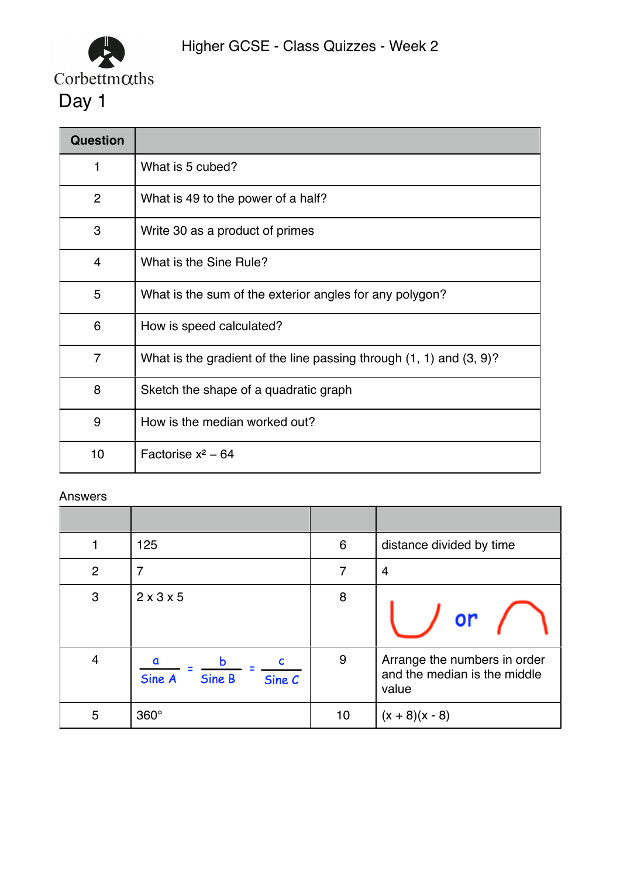

| <b>Question</b> |                                                                          |
|-----------------|--------------------------------------------------------------------------|
| 1               | What is 5 cubed?                                                         |
| 2               | What is 49 to the power of a half?                                       |
| 3               | Write 30 as a product of primes                                          |
| 4               | What is the Sine Rule?                                                   |
| 5               | What is the sum of the exterior angles for any polygon?                  |
| 6               | How is speed calculated?                                                 |
| 7               | What is the gradient of the line passing through $(1, 1)$ and $(3, 9)$ ? |
| 8               | Sketch the shape of a quadratic graph                                    |
| 9               | How is the median worked out?                                            |
| 10              | Factorise $x^2$ – 64                                                     |

|                | 125                             | $6\phantom{1}6$ | distance divided by time                                              |
|----------------|---------------------------------|-----------------|-----------------------------------------------------------------------|
| $\overline{2}$ | 7                               | 7               | 4                                                                     |
| 3              | 2x3x5                           | 8               | or                                                                    |
| $\overline{4}$ | h<br>Sine B<br>Sine A<br>Sine C | 9               | Arrange the numbers in order<br>and the median is the middle<br>value |
| 5              | $360^\circ$                     | 10              | $(x + 8)(x - 8)$                                                      |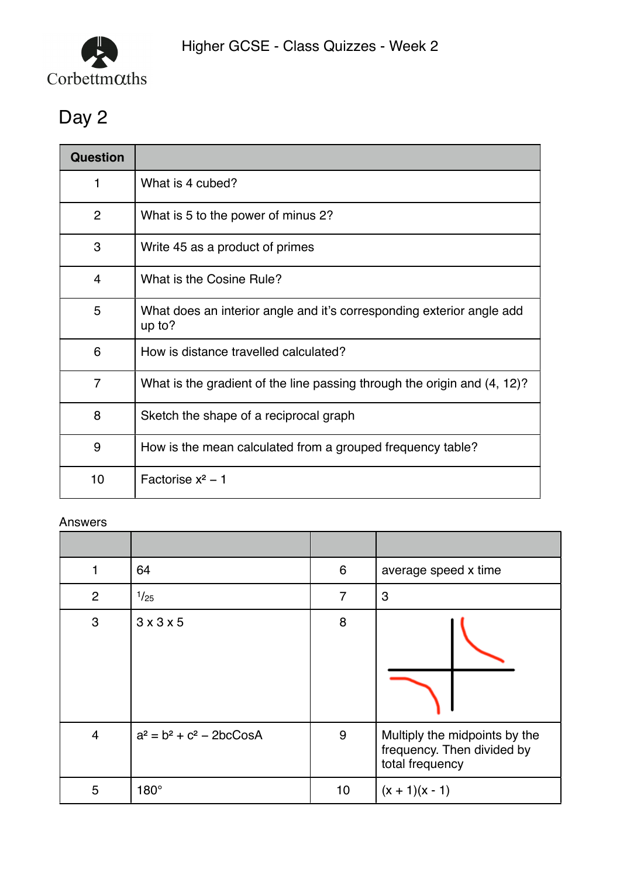

| <b>Question</b> |                                                                                 |
|-----------------|---------------------------------------------------------------------------------|
| 1               | What is 4 cubed?                                                                |
| $\overline{2}$  | What is 5 to the power of minus 2?                                              |
| 3               | Write 45 as a product of primes                                                 |
| 4               | What is the Cosine Rule?                                                        |
| 5               | What does an interior angle and it's corresponding exterior angle add<br>up to? |
| 6               | How is distance travelled calculated?                                           |
| $\overline{7}$  | What is the gradient of the line passing through the origin and (4, 12)?        |
| 8               | Sketch the shape of a reciprocal graph                                          |
| 9               | How is the mean calculated from a grouped frequency table?                      |
| 10              | Factorise $x^2 - 1$                                                             |

| 1              | 64                          | 6  | average speed x time                                                           |
|----------------|-----------------------------|----|--------------------------------------------------------------------------------|
| $\overline{2}$ | 1/25                        | 7  | 3                                                                              |
| 3              | 3x3x5                       | 8  |                                                                                |
| $\overline{4}$ | $a^2 = b^2 + c^2 - 2bcCosA$ | 9  | Multiply the midpoints by the<br>frequency. Then divided by<br>total frequency |
| 5              | $180^\circ$                 | 10 | $(x + 1)(x - 1)$                                                               |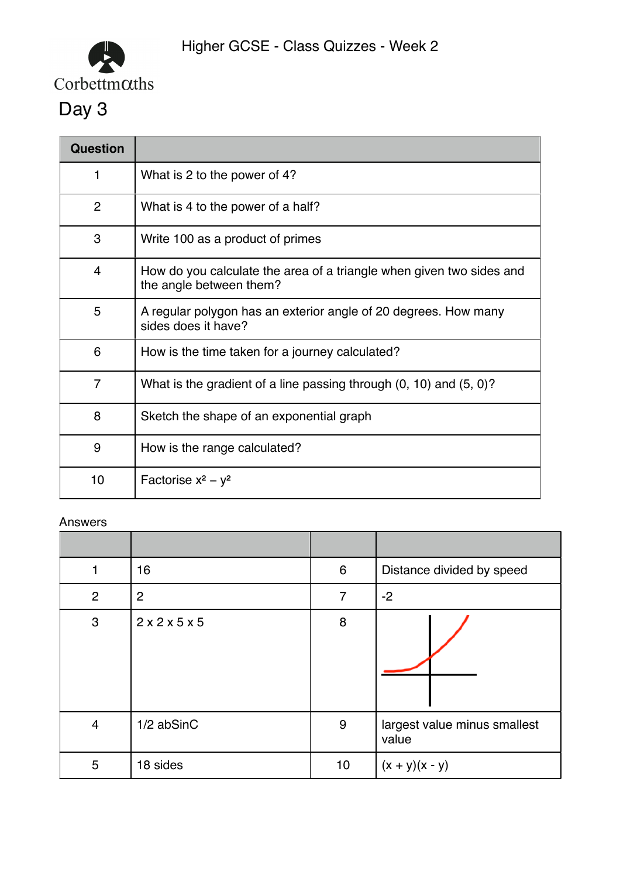

| <b>Question</b> |                                                                                                 |
|-----------------|-------------------------------------------------------------------------------------------------|
| 1               | What is 2 to the power of 4?                                                                    |
| $\overline{2}$  | What is 4 to the power of a half?                                                               |
| 3               | Write 100 as a product of primes                                                                |
| 4               | How do you calculate the area of a triangle when given two sides and<br>the angle between them? |
| 5               | A regular polygon has an exterior angle of 20 degrees. How many<br>sides does it have?          |
| 6               | How is the time taken for a journey calculated?                                                 |
| $\overline{7}$  | What is the gradient of a line passing through $(0, 10)$ and $(5, 0)$ ?                         |
| 8               | Sketch the shape of an exponential graph                                                        |
| 9               | How is the range calculated?                                                                    |
| 10              | Factorise $x^2 - y^2$                                                                           |

| 1              | 16             | $6\phantom{1}6$ | Distance divided by speed             |
|----------------|----------------|-----------------|---------------------------------------|
| 2              | $\overline{2}$ | $\overline{7}$  | $-2$                                  |
| 3              | 2x2x5x5        | 8               |                                       |
| $\overline{4}$ | 1/2 abSinC     | 9               | largest value minus smallest<br>value |
| 5              | 18 sides       | 10              | $(x + y)(x - y)$                      |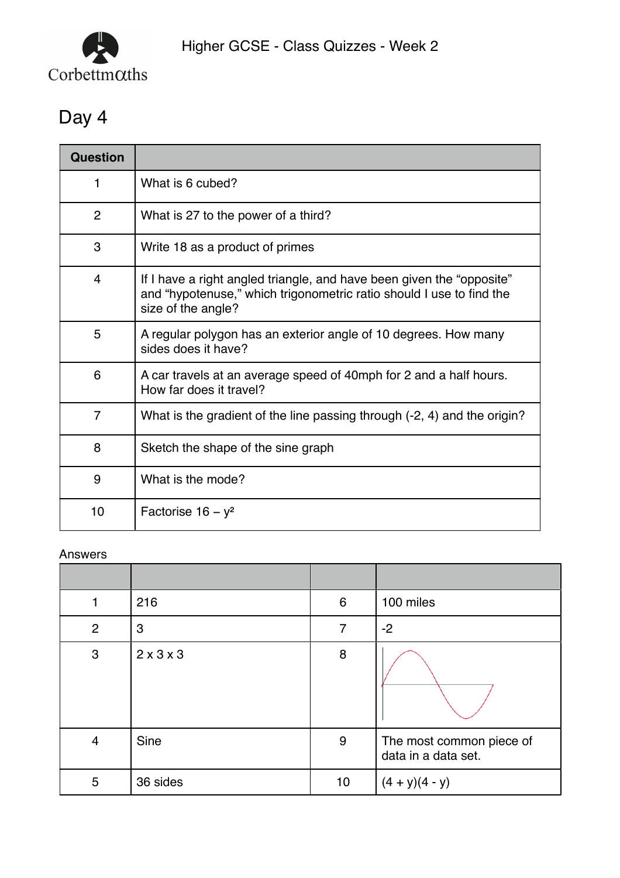

| Question       |                                                                                                                                                                     |
|----------------|---------------------------------------------------------------------------------------------------------------------------------------------------------------------|
| 1              | What is 6 cubed?                                                                                                                                                    |
| $\overline{2}$ | What is 27 to the power of a third?                                                                                                                                 |
| 3              | Write 18 as a product of primes                                                                                                                                     |
| $\overline{4}$ | If I have a right angled triangle, and have been given the "opposite"<br>and "hypotenuse," which trigonometric ratio should I use to find the<br>size of the angle? |
| 5              | A regular polygon has an exterior angle of 10 degrees. How many<br>sides does it have?                                                                              |
| 6              | A car travels at an average speed of 40mph for 2 and a half hours.<br>How far does it travel?                                                                       |
| $\overline{7}$ | What is the gradient of the line passing through (-2, 4) and the origin?                                                                                            |
| 8              | Sketch the shape of the sine graph                                                                                                                                  |
| 9              | What is the mode?                                                                                                                                                   |
| 10             | Factorise $16 - y^2$                                                                                                                                                |

| 1              | 216                   | $6\phantom{1}6$ | 100 miles                                       |
|----------------|-----------------------|-----------------|-------------------------------------------------|
| $\overline{2}$ | $\mathbf{3}$          | 7               | $-2$                                            |
| $\mathbf{3}$   | $2 \times 3 \times 3$ | 8               |                                                 |
| $\overline{4}$ | Sine                  | 9               | The most common piece of<br>data in a data set. |
| 5              | 36 sides              | 10              | $(4 + y)(4 - y)$                                |